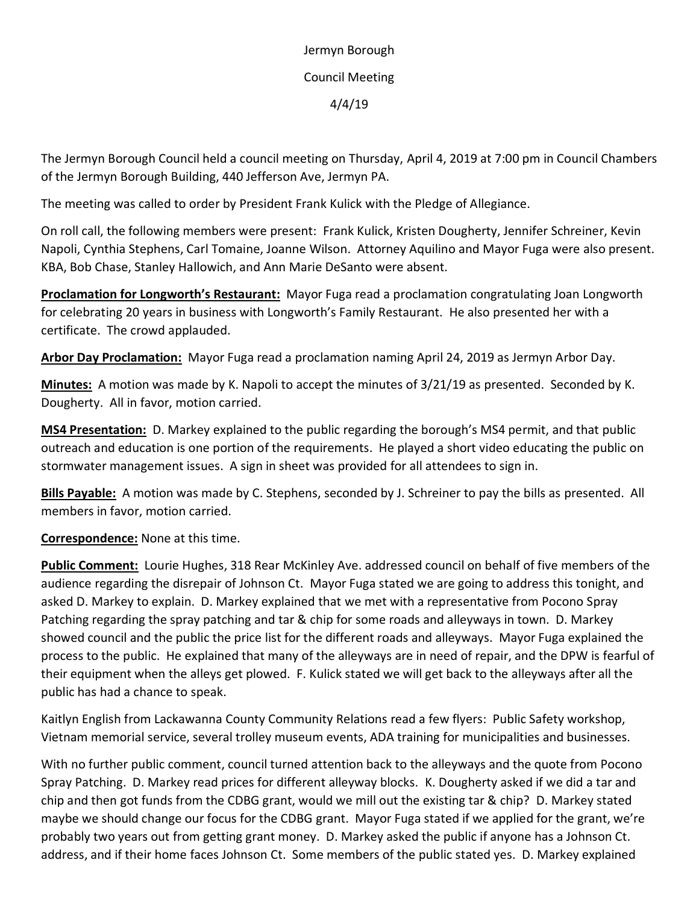Jermyn Borough Council Meeting 4/4/19

The Jermyn Borough Council held a council meeting on Thursday, April 4, 2019 at 7:00 pm in Council Chambers of the Jermyn Borough Building, 440 Jefferson Ave, Jermyn PA.

The meeting was called to order by President Frank Kulick with the Pledge of Allegiance.

On roll call, the following members were present: Frank Kulick, Kristen Dougherty, Jennifer Schreiner, Kevin Napoli, Cynthia Stephens, Carl Tomaine, Joanne Wilson. Attorney Aquilino and Mayor Fuga were also present. KBA, Bob Chase, Stanley Hallowich, and Ann Marie DeSanto were absent.

**Proclamation for Longworth's Restaurant:** Mayor Fuga read a proclamation congratulating Joan Longworth for celebrating 20 years in business with Longworth's Family Restaurant. He also presented her with a certificate. The crowd applauded.

**Arbor Day Proclamation:** Mayor Fuga read a proclamation naming April 24, 2019 as Jermyn Arbor Day.

**Minutes:** A motion was made by K. Napoli to accept the minutes of 3/21/19 as presented. Seconded by K. Dougherty. All in favor, motion carried.

**MS4 Presentation:** D. Markey explained to the public regarding the borough's MS4 permit, and that public outreach and education is one portion of the requirements. He played a short video educating the public on stormwater management issues. A sign in sheet was provided for all attendees to sign in.

**Bills Payable:** A motion was made by C. Stephens, seconded by J. Schreiner to pay the bills as presented. All members in favor, motion carried.

**Correspondence:** None at this time.

**Public Comment:** Lourie Hughes, 318 Rear McKinley Ave. addressed council on behalf of five members of the audience regarding the disrepair of Johnson Ct. Mayor Fuga stated we are going to address this tonight, and asked D. Markey to explain. D. Markey explained that we met with a representative from Pocono Spray Patching regarding the spray patching and tar & chip for some roads and alleyways in town. D. Markey showed council and the public the price list for the different roads and alleyways. Mayor Fuga explained the process to the public. He explained that many of the alleyways are in need of repair, and the DPW is fearful of their equipment when the alleys get plowed. F. Kulick stated we will get back to the alleyways after all the public has had a chance to speak.

Kaitlyn English from Lackawanna County Community Relations read a few flyers: Public Safety workshop, Vietnam memorial service, several trolley museum events, ADA training for municipalities and businesses.

With no further public comment, council turned attention back to the alleyways and the quote from Pocono Spray Patching. D. Markey read prices for different alleyway blocks. K. Dougherty asked if we did a tar and chip and then got funds from the CDBG grant, would we mill out the existing tar & chip? D. Markey stated maybe we should change our focus for the CDBG grant. Mayor Fuga stated if we applied for the grant, we're probably two years out from getting grant money. D. Markey asked the public if anyone has a Johnson Ct. address, and if their home faces Johnson Ct. Some members of the public stated yes. D. Markey explained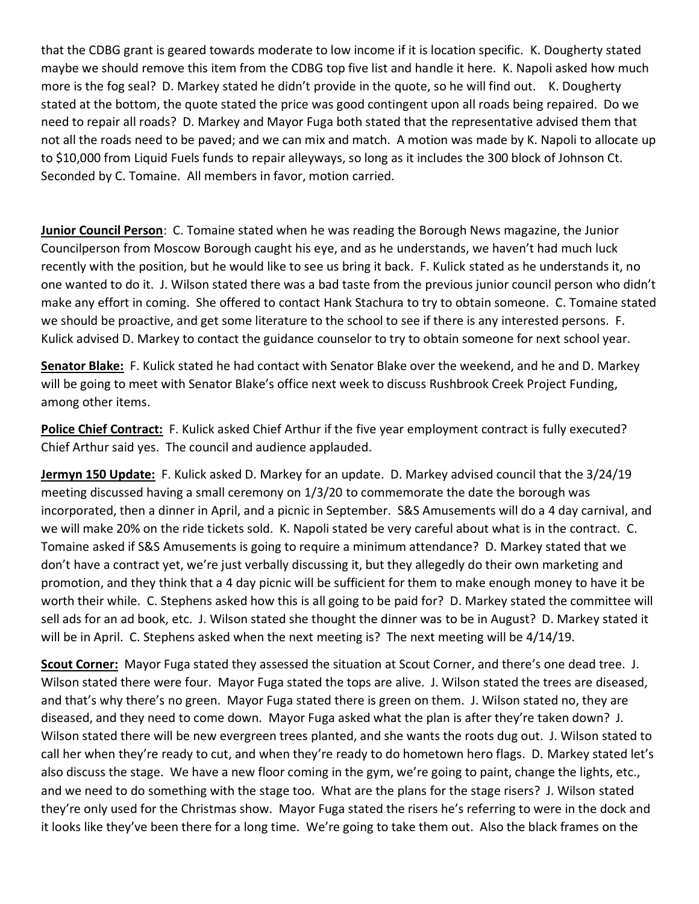that the CDBG grant is geared towards moderate to low income if it is location specific. K. Dougherty stated maybe we should remove this item from the CDBG top five list and handle it here. K. Napoli asked how much more is the fog seal? D. Markey stated he didn't provide in the quote, so he will find out. K. Dougherty stated at the bottom, the quote stated the price was good contingent upon all roads being repaired. Do we need to repair all roads? D. Markey and Mayor Fuga both stated that the representative advised them that not all the roads need to be paved; and we can mix and match. A motion was made by K. Napoli to allocate up to \$10,000 from Liquid Fuels funds to repair alleyways, so long as it includes the 300 block of Johnson Ct. Seconded by C. Tomaine. All members in favor, motion carried.

**Junior Council Person**: C. Tomaine stated when he was reading the Borough News magazine, the Junior Councilperson from Moscow Borough caught his eye, and as he understands, we haven't had much luck recently with the position, but he would like to see us bring it back. F. Kulick stated as he understands it, no one wanted to do it. J. Wilson stated there was a bad taste from the previous junior council person who didn't make any effort in coming. She offered to contact Hank Stachura to try to obtain someone. C. Tomaine stated we should be proactive, and get some literature to the school to see if there is any interested persons. F. Kulick advised D. Markey to contact the guidance counselor to try to obtain someone for next school year.

**Senator Blake:** F. Kulick stated he had contact with Senator Blake over the weekend, and he and D. Markey will be going to meet with Senator Blake's office next week to discuss Rushbrook Creek Project Funding, among other items.

**Police Chief Contract:** F. Kulick asked Chief Arthur if the five year employment contract is fully executed? Chief Arthur said yes. The council and audience applauded.

**Jermyn 150 Update:** F. Kulick asked D. Markey for an update. D. Markey advised council that the 3/24/19 meeting discussed having a small ceremony on 1/3/20 to commemorate the date the borough was incorporated, then a dinner in April, and a picnic in September. S&S Amusements will do a 4 day carnival, and we will make 20% on the ride tickets sold. K. Napoli stated be very careful about what is in the contract. C. Tomaine asked if S&S Amusements is going to require a minimum attendance? D. Markey stated that we don't have a contract yet, we're just verbally discussing it, but they allegedly do their own marketing and promotion, and they think that a 4 day picnic will be sufficient for them to make enough money to have it be worth their while. C. Stephens asked how this is all going to be paid for? D. Markey stated the committee will sell ads for an ad book, etc. J. Wilson stated she thought the dinner was to be in August? D. Markey stated it will be in April. C. Stephens asked when the next meeting is? The next meeting will be  $4/14/19$ .

**Scout Corner:** Mayor Fuga stated they assessed the situation at Scout Corner, and there's one dead tree. J. Wilson stated there were four. Mayor Fuga stated the tops are alive. J. Wilson stated the trees are diseased, and that's why there's no green. Mayor Fuga stated there is green on them. J. Wilson stated no, they are diseased, and they need to come down. Mayor Fuga asked what the plan is after they're taken down? J. Wilson stated there will be new evergreen trees planted, and she wants the roots dug out. J. Wilson stated to call her when they're ready to cut, and when they're ready to do hometown hero flags. D. Markey stated let's also discuss the stage. We have a new floor coming in the gym, we're going to paint, change the lights, etc., and we need to do something with the stage too. What are the plans for the stage risers? J. Wilson stated they're only used for the Christmas show. Mayor Fuga stated the risers he's referring to were in the dock and it looks like they've been there for a long time. We're going to take them out. Also the black frames on the